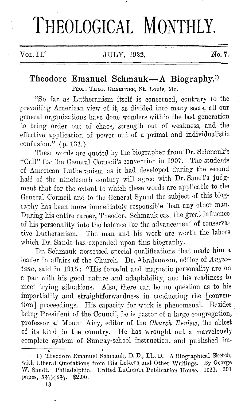## THEOLOGICAL MONTHLY.

| $\,\mathrm{V}$ ol. II. $^\prime$ | JULY, 1922. | No. 7. |
|----------------------------------|-------------|--------|
|                                  |             |        |

## Theodore Emanuel Schmauk-A Biography.<sup>1)</sup>

PROF. THEO. GRAEDNER, St. Louis, Mo.

"So far as Lutheranism itself is concerned, contrary to the prevailing American view of it, as divided into many sects, all our general organizations have done wonders within the last generation to bring order out of chaos, strength out of weakness, and the effective application of power out of a primal and individualistic confusion." (p. 131.)

These words are quoted by the biographer from Dr. Schmauk's "Call" for the General Council's convention in 1907. The students of American Lutheranism as it had. developed during the second half of the nineteenth century will agree with Dr. Sandt's judgment that for the extent to which these words are applicable to the General Council and to the General Synod the subject of this biography has been more immediately responsible than any other man. During his entire career, Theodore Schmauk cast the great influence of his personality into the balance for the advancement of conservative Lutheranism. The man and his work are worth tho labors which Dr. Sandt has expended upon this biography.

Dr. Schmauk possessed special qualifications that made him a leader in affairs of the Church. Dr. Abrahamson, editor of  $August$ tana, said in 1915: "His forceful and magnetic personality are on a par with his good nature and adaptability, and his readiness to meet trying situations. Also, there can be no question as to his impartiality and straightforwardness in conducting the [ convention] proceedings. His capacity for work is phenomenal. Besides being President of the Council, he is pastor of a large congregation, professor at Mount Airy, editor of the *Church Review*, the ablest of its kind, in the country. He has wrought out a marvelously complete system 0£ Sunday-school instruction, and published im-

<sup>1)</sup> Theodore Emanuel Schmauk, D. D., LL. D. A Biographical Sketch, with Liberal Quotations from His Letters and Other Writings. By George W. Sandt. Philadelphia. United Lutheran Publication House. 1921. 291 pages,  $5\frac{3}{4}\times8\frac{3}{4}$ . \$2.00.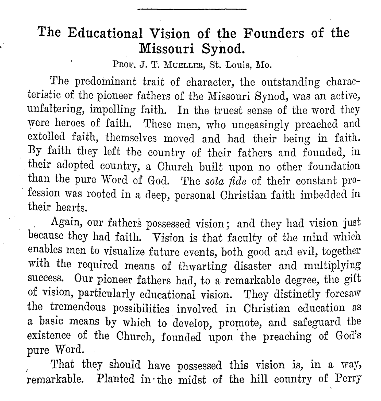## **The Educational Vision of the Founders of the Missouri Synod.**

PROF. J. T. MUELLER, St. Louis, Mo.

The predominant trait of character, the outstanding characteristic of the pioneer fathers of the Missouri Synod, was an active, unfaltering, impelling faith. In the truest sense of the word they were heroes of faith. These men, who unceasingly preached and extolled faith, themselves moved and had their being in faith. By faith they left the country of their fathers and founded, in their adopted country, a Church built upon no other foundation than the pure Word of God. The *sola fide* of their constant profession was rooted in a deep, personal Christian faith imbedded in their hearts.

. Again, our fathers possessed vision; and they had vision just because they had faith. Vision is that faculty of the mind which enables men to visualize future events, both good and evil, together with the required means of thwarting disaster and multiplying success. Our pioneer fathers had, to a remarkable degree, the gift of vision, particularly educational vision. They distinctly foresaw the tremendous possibilities involved in Christian education as a basic means by which to develop, promote, and safeguard the existence of the Church, founded upon the preaching of God's pure Word.

That they should have possessed this vision is, in a way, remarkable. Planted in· the midst of the hill country of Perry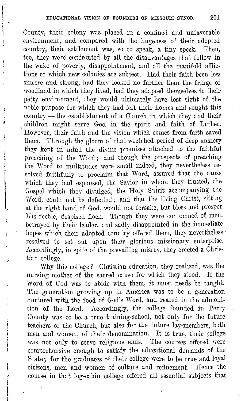County, their colony was placed in a confined and unfavorable environment, and compared with the hugeness of their adopted country, their settlement was, so to speak, a tiny speck. Then, too, they were confronted by all the disadvantages that follow in the wake of poverty, disappointment, and all the manifold afllictions to which new colonies are subject. Had their faith been less sincere and strong, had they looked no farther than the fringe of woodland in which they lived, had they adapted themselves to their petty environment, they would ultimately have lost sight of the noble purpose for which they had left their homes and sought this  $country$  - the establishment of a Church in which they and their children might serve God in the spirit and faith of Luther. However, their faith and the vision which comes from faith saved them. Through the gloom of that wretched period of deep anxiety they kept in mind the divine promises attached to the faithful preaching of the Word; and though the prospects of preaching the Word to multitudes were small indeed, they nevertheless resolved faithfully to proclaim that Word, assured that the cause which they had espoused, the Savior in whom they trusted, the Gospel which they divulged, the Holy Spirit accompanying the Word, could not be defeated; and that the living Christ, sitting at the right hand of God, would not forsake, but bless and prosper His feeble, despised flock. Though they were contemned of men, betrayed by their leader, and sadly disappointed in the immediate hopes which their adopted country offered them, they nevertheless ' resolved to set out upon their glorious missionary enterprise. Accordingly, in spite of the prevailing misery, they erected a Christian college.

Why this college? Christian education, they realized, was the nursing mother of the sacred cause for which they stood. If the Word of God was to abide with them, it must needs be taught. The generation growing up in America was to be a generation nurtured with the food of God's Word, and reared in the admonition of the Lord. Accordingly, the college founded in Perry County was. to be. a true training-school, not only for the future teachers of the Church, but also for the future lay-members, both men and women, of their denomination. It is true, their college was not only to serve religious ends. The courses offered were comprehensive enough to satisfy the educational demands of the State; for the graduates of their college were to be true and loyal citizens, men and women of culture and refinement. Hence the course in that log-cabin college offered all essential subjects that

*)* 

Ì

r<br>I<br>I

 $\mathbf{I}$  $\left\lceil \frac{1}{2} \right\rceil$ 1·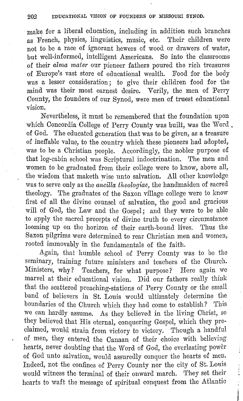make for a liberal education, including in addition such branches as French, physics, linguistics, music, etc. Their children were not to be a race of ignorant hewers of wood or drawers of water, but well-informed, intelligent Americans. So into the classrooms of their *alma mater* our pioneer fathers poured the rich treasures of Europe's vast store of educational wealth. Food for the body was a lesser consideration; to give their children food for the mind was their most earnest desire. Verily, the men of Perry County, the founders of our Synod, were men of truest educational vision.

Nevertheless, it must be remembered that the foundation upon which Concordia College of Perry County was built, was the Word . of God. The educated generation that was to be given, as a treasure of ineffable value, to the country which these pioneers had adopted, was to be a Christian people. Accordingly, the nobler purpose of that log-cabin school was Scriptural indoctrination. The men and women to be graduated from their college were to know, above all, the wisdom that maketh wise unto salvation. **All** other knowledge was to serve only as the *ancilla theologiae*, the handmaiden of sacred theology. The graduates of the Saxon village college were to know first of all the divine counsel of salvation, the good and gracious will of God, the Law and the Gospel; and they were to be able to apply the sacred precepts of divine truth to every circumstance looming up on the horizon of their earth-bound lives. hus the Saxon pilgrims were determined to rear Christian men and women, rooted immovably in the fundamentals of the faith.

Again, that humble school of Perry County was to be the seminary, training future ministers and teachers of the Church. Ministers, why? Teachers, for what purpose? Here again we marvel at their educational vision. Did our fathers really think that the scattered preaching-stations of Perry County or the small band of believers in St. Louis would ultimately determine the boundaries of the Church which they had come to establish? This we can hardly assume. As they believed in the living Christ, so they believed that His eternal, conquering Gospel, which they proclaimed, would strain from victory to victory. Though a handful of men, they entered the Canaan of their choice with believing hearts, never doubting that the Word of God, the everlasting power of God unto salvation, would assuredly conquer the hearts of men. Indeed, not the confines of Perry County nor the city of St. Louis would witness the terminal of their onward march. They set their hearts to waft the message of spiritual conquest from the Atlantic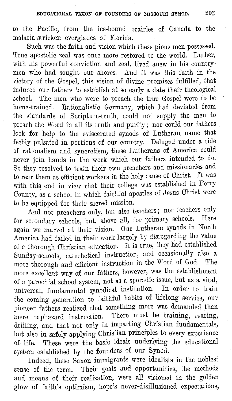to the Pacific, from· the ice-bound prairies of Canada to the malaria-stricken everglades of Florida.

Such was the faith and vision which these pious men possessed. 'l'rue apostolic zeal was once more restored to the world. Luther, with his powerful conviction and zeal, lived anew in his countrymen who had sought our shores. And it was this faith in the victory of the Gospel, this vision of divine promises fulfilled, that induced our fathers to establish at so early a date their theological school. The men who were to preach the true Gospel were to be home-trained. Rationalistic Germany, which had deviated from the standards of Scripture-truth, could not supply the men to preach the Word in all its truth and purity; nor could our fathers . look for help to the eviscerated synods of Lutheran name that feebly pulsated in portions of our country. Deluged under a tide of rationalism and syncretism, these Lutherans of America could never join hands in the work which our fathers intended to do. So they resolved to train their own preachers and missionaries and to rear them as efficient workers in the holy cause of Christ. It was with this, end in view that their college was established in Perry County, as a school in which faithful apostles of Jesus Christ were to be equipped for their sacred mission.

And not preachers only, but also teachers; nor teachers only for secondary schools, but, above all, for primary schools. Here again we marvel at their vision. Our Lutheran synods in North America had failed in their work largely by disregarding the value of a thorough Christian education. It is true, they had established Sunday-schools, catechetical instruction, and occasionally also a more thorough and efficient instruction in the Word of God. The more excellent way of our fathers, however, was the establishment of a parochial school system, not as a sporadic issue, but as a vital, universal, fundamental synodical institution. In order to train the coming generation to faithful habits of lifelong service, our pioneer fathers realized that something more was demanded than mere haphazard instruction. There must be training, rearing, drilling, and that not only in imparting Christian fundamentals, but also in safely applying Christian principles to every experience of life. 'l'hese were the basic ideals underlying the educational system established by the founders of our Synod.

Indeed, these Saxon immigrants were idealists in the noblest sense of the term. Their goals and opportunities, the methods and means of their realization, were all visioned in the golden glow of faith's optimism, hope's never-disillusioned expectations,